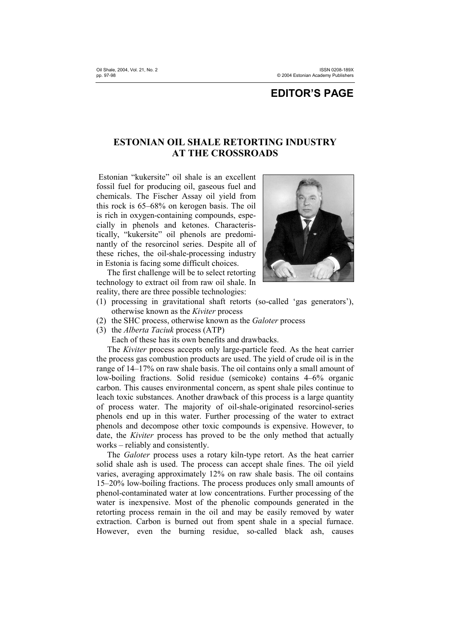## **EDITOR'S PAGE**

## **ESTONIAN OIL SHALE RETORTING INDUSTRY AT THE CROSSROADS**

 Estonian "kukersite" oil shale is an excellent fossil fuel for producing oil, gaseous fuel and chemicals. The Fischer Assay oil yield from this rock is 65–68% on kerogen basis. The oil is rich in oxygen-containing compounds, especially in phenols and ketones. Characteristically, "kukersite" oil phenols are predominantly of the resorcinol series. Despite all of these riches, the oil-shale-processing industry in Estonia is facing some difficult choices.

The first challenge will be to select retorting technology to extract oil from raw oil shale. In reality, there are three possible technologies:



- (1) processing in gravitational shaft retorts (so-called 'gas generators'), otherwise known as the *Kiviter* process
- (2) the SHC process, otherwise known as the *Galoter* process
- (3) the *Alberta Taciuk* process (ATP)

Each of these has its own benefits and drawbacks.

The *Kiviter* process accepts only large-particle feed. As the heat carrier the process gas combustion products are used. The yield of crude oil is in the range of 14–17% on raw shale basis. The oil contains only a small amount of low-boiling fractions. Solid residue (semicoke) contains 4–6% organic carbon. This causes environmental concern, as spent shale piles continue to leach toxic substances. Another drawback of this process is a large quantity of process water. The majority of oil-shale-originated resorcinol-series phenols end up in this water. Further processing of the water to extract phenols and decompose other toxic compounds is expensive. However, to date, the *Kiviter* process has proved to be the only method that actually works – reliably and consistently.

The *Galoter* process uses a rotary kiln-type retort. As the heat carrier solid shale ash is used. The process can accept shale fines. The oil yield varies, averaging approximately 12% on raw shale basis. The oil contains 15–20% low-boiling fractions. The process produces only small amounts of phenol-contaminated water at low concentrations. Further processing of the water is inexpensive. Most of the phenolic compounds generated in the retorting process remain in the oil and may be easily removed by water extraction. Carbon is burned out from spent shale in a special furnace. However, even the burning residue, so-called black ash, causes